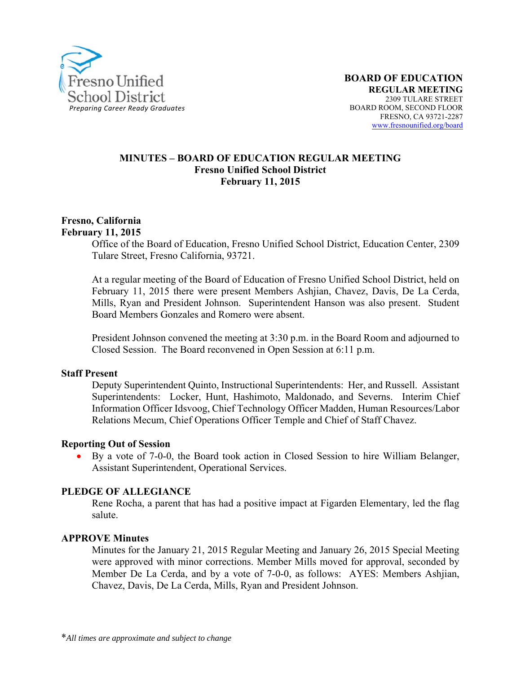

#### **MINUTES – BOARD OF EDUCATION REGULAR MEETING Fresno Unified School District February 11, 2015**

#### **Fresno, California February 11, 2015**

Office of the Board of Education, Fresno Unified School District, Education Center, 2309 Tulare Street, Fresno California, 93721.

At a regular meeting of the Board of Education of Fresno Unified School District, held on February 11, 2015 there were present Members Ashjian, Chavez, Davis, De La Cerda, Mills, Ryan and President Johnson. Superintendent Hanson was also present. Student Board Members Gonzales and Romero were absent.

President Johnson convened the meeting at 3:30 p.m. in the Board Room and adjourned to Closed Session. The Board reconvened in Open Session at 6:11 p.m.

#### **Staff Present**

Deputy Superintendent Quinto, Instructional Superintendents: Her, and Russell. Assistant Superintendents: Locker, Hunt, Hashimoto, Maldonado, and Severns. Interim Chief Information Officer Idsvoog, Chief Technology Officer Madden, Human Resources/Labor Relations Mecum, Chief Operations Officer Temple and Chief of Staff Chavez.

#### **Reporting Out of Session**

 By a vote of 7-0-0, the Board took action in Closed Session to hire William Belanger, Assistant Superintendent, Operational Services.

#### **PLEDGE OF ALLEGIANCE**

Rene Rocha, a parent that has had a positive impact at Figarden Elementary, led the flag salute.

#### **APPROVE Minutes**

Minutes for the January 21, 2015 Regular Meeting and January 26, 2015 Special Meeting were approved with minor corrections. Member Mills moved for approval, seconded by Member De La Cerda, and by a vote of 7-0-0, as follows: AYES: Members Ashjian, Chavez, Davis, De La Cerda, Mills, Ryan and President Johnson.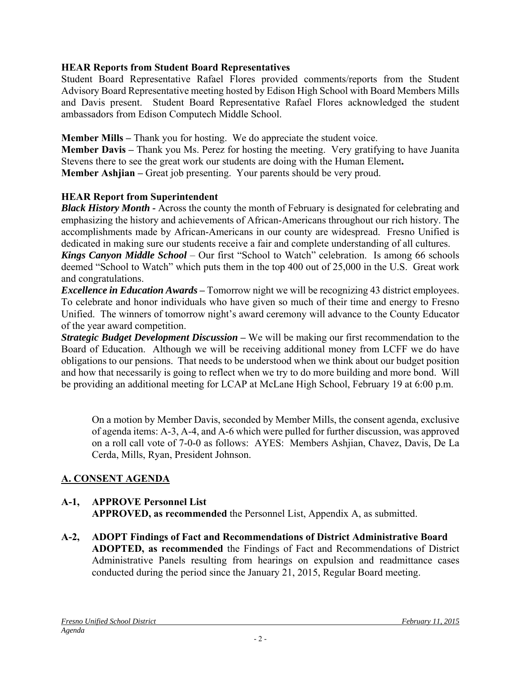# **HEAR Reports from Student Board Representatives**

Student Board Representative Rafael Flores provided comments/reports from the Student Advisory Board Representative meeting hosted by Edison High School with Board Members Mills and Davis present. Student Board Representative Rafael Flores acknowledged the student ambassadors from Edison Computech Middle School.

**Member Mills – Thank you for hosting. We do appreciate the student voice.** 

**Member Davis** – Thank you Ms. Perez for hosting the meeting. Very gratifying to have Juanita Stevens there to see the great work our students are doing with the Human Element**. Member Ashjian** – Great job presenting. Your parents should be very proud.

# **HEAR Report from Superintendent**

*Black History Month -* Across the county the month of February is designated for celebrating and emphasizing the history and achievements of African-Americans throughout our rich history. The accomplishments made by African-Americans in our county are widespread. Fresno Unified is dedicated in making sure our students receive a fair and complete understanding of all cultures.

*Kings Canyon Middle School* – Our first "School to Watch" celebration. Is among 66 schools deemed "School to Watch" which puts them in the top 400 out of 25,000 in the U.S. Great work and congratulations.

*Excellence in Education Awards* – Tomorrow night we will be recognizing 43 district employees. To celebrate and honor individuals who have given so much of their time and energy to Fresno Unified. The winners of tomorrow night's award ceremony will advance to the County Educator of the year award competition.

*Strategic Budget Development Discussion* – We will be making our first recommendation to the Board of Education. Although we will be receiving additional money from LCFF we do have obligations to our pensions. That needs to be understood when we think about our budget position and how that necessarily is going to reflect when we try to do more building and more bond. Will be providing an additional meeting for LCAP at McLane High School, February 19 at 6:00 p.m.

On a motion by Member Davis, seconded by Member Mills, the consent agenda, exclusive of agenda items: A-3, A-4, and A-6 which were pulled for further discussion, was approved on a roll call vote of 7-0-0 as follows: AYES: Members Ashjian, Chavez, Davis, De La Cerda, Mills, Ryan, President Johnson.

# **A. CONSENT AGENDA**

## **A-1, APPROVE Personnel List APPROVED, as recommended** the Personnel List, Appendix A, as submitted.

**A-2, ADOPT Findings of Fact and Recommendations of District Administrative Board ADOPTED, as recommended** the Findings of Fact and Recommendations of District Administrative Panels resulting from hearings on expulsion and readmittance cases conducted during the period since the January 21, 2015, Regular Board meeting.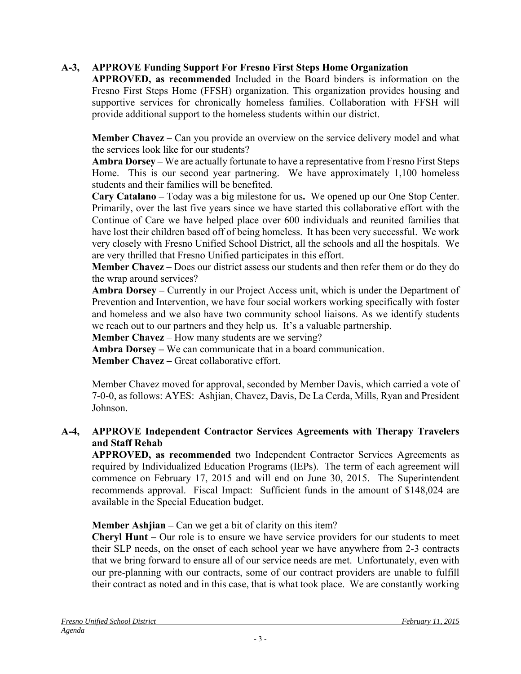# **A-3, APPROVE Funding Support For Fresno First Steps Home Organization**

**APPROVED, as recommended** Included in the Board binders is information on the Fresno First Steps Home (FFSH) organization. This organization provides housing and supportive services for chronically homeless families. Collaboration with FFSH will provide additional support to the homeless students within our district.

**Member Chavez** – Can you provide an overview on the service delivery model and what the services look like for our students?

**Ambra Dorsey –** We are actually fortunate to have a representative from Fresno First Steps Home. This is our second year partnering. We have approximately 1,100 homeless students and their families will be benefited.

**Cary Catalano –** Today was a big milestone for us**.** We opened up our One Stop Center. Primarily, over the last five years since we have started this collaborative effort with the Continue of Care we have helped place over 600 individuals and reunited families that have lost their children based off of being homeless. It has been very successful. We work very closely with Fresno Unified School District, all the schools and all the hospitals. We are very thrilled that Fresno Unified participates in this effort.

**Member Chavez –** Does our district assess our students and then refer them or do they do the wrap around services?

**Ambra Dorsey –** Currently in our Project Access unit, which is under the Department of Prevention and Intervention, we have four social workers working specifically with foster and homeless and we also have two community school liaisons. As we identify students we reach out to our partners and they help us. It's a valuable partnership.

**Member Chavez** – How many students are we serving?

**Ambra Dorsey –** We can communicate that in a board communication.

**Member Chavez –** Great collaborative effort.

Member Chavez moved for approval, seconded by Member Davis, which carried a vote of 7-0-0, as follows: AYES: Ashjian, Chavez, Davis, De La Cerda, Mills, Ryan and President Johnson.

## **A-4, APPROVE Independent Contractor Services Agreements with Therapy Travelers and Staff Rehab**

**APPROVED, as recommended** two Independent Contractor Services Agreements as required by Individualized Education Programs (IEPs). The term of each agreement will commence on February 17, 2015 and will end on June 30, 2015. The Superintendent recommends approval. Fiscal Impact: Sufficient funds in the amount of \$148,024 are available in the Special Education budget.

**Member Ashijan** – Can we get a bit of clarity on this item?

**Cheryl Hunt –** Our role is to ensure we have service providers for our students to meet their SLP needs, on the onset of each school year we have anywhere from 2-3 contracts that we bring forward to ensure all of our service needs are met. Unfortunately, even with our pre-planning with our contracts, some of our contract providers are unable to fulfill their contract as noted and in this case, that is what took place. We are constantly working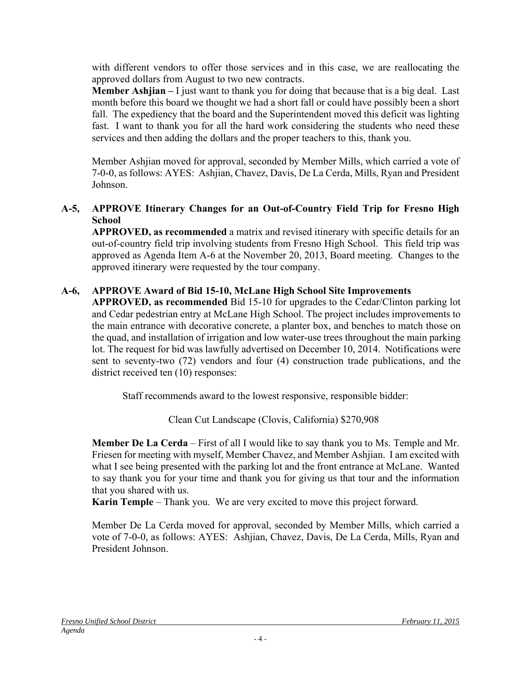with different vendors to offer those services and in this case, we are reallocating the approved dollars from August to two new contracts.

**Member Ashjian –** I just want to thank you for doing that because that is a big deal. Last month before this board we thought we had a short fall or could have possibly been a short fall. The expediency that the board and the Superintendent moved this deficit was lighting fast. I want to thank you for all the hard work considering the students who need these services and then adding the dollars and the proper teachers to this, thank you.

Member Ashjian moved for approval, seconded by Member Mills, which carried a vote of 7-0-0, as follows: AYES: Ashjian, Chavez, Davis, De La Cerda, Mills, Ryan and President Johnson.

## **A-5, APPROVE Itinerary Changes for an Out-of-Country Field Trip for Fresno High School**

**APPROVED, as recommended** a matrix and revised itinerary with specific details for an out-of-country field trip involving students from Fresno High School. This field trip was approved as Agenda Item A-6 at the November 20, 2013, Board meeting. Changes to the approved itinerary were requested by the tour company.

# **A-6, APPROVE Award of Bid 15-10, McLane High School Site Improvements**

**APPROVED, as recommended** Bid 15-10 for upgrades to the Cedar/Clinton parking lot and Cedar pedestrian entry at McLane High School. The project includes improvements to the main entrance with decorative concrete, a planter box, and benches to match those on the quad, and installation of irrigation and low water-use trees throughout the main parking lot. The request for bid was lawfully advertised on December 10, 2014. Notifications were sent to seventy-two (72) vendors and four (4) construction trade publications, and the district received ten (10) responses:

Staff recommends award to the lowest responsive, responsible bidder:

Clean Cut Landscape (Clovis, California) \$270,908

**Member De La Cerda** – First of all I would like to say thank you to Ms. Temple and Mr. Friesen for meeting with myself, Member Chavez, and Member Ashjian. I am excited with what I see being presented with the parking lot and the front entrance at McLane. Wanted to say thank you for your time and thank you for giving us that tour and the information that you shared with us.

**Karin Temple** – Thank you. We are very excited to move this project forward.

Member De La Cerda moved for approval, seconded by Member Mills, which carried a vote of 7-0-0, as follows: AYES: Ashjian, Chavez, Davis, De La Cerda, Mills, Ryan and President Johnson.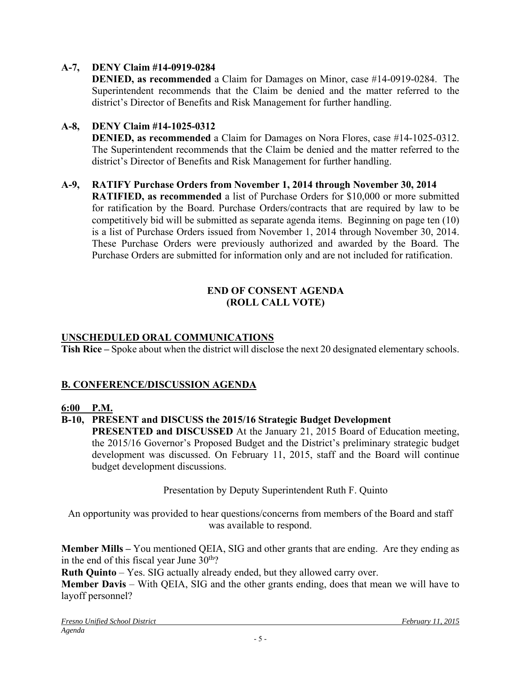# **A-7, DENY Claim #14-0919-0284**

**DENIED, as recommended** a Claim for Damages on Minor, case #14-0919-0284. The Superintendent recommends that the Claim be denied and the matter referred to the district's Director of Benefits and Risk Management for further handling.

### **A-8, DENY Claim #14-1025-0312**

**DENIED, as recommended** a Claim for Damages on Nora Flores, case #14-1025-0312. The Superintendent recommends that the Claim be denied and the matter referred to the district's Director of Benefits and Risk Management for further handling.

### **A-9, RATIFY Purchase Orders from November 1, 2014 through November 30, 2014**

**RATIFIED, as recommended** a list of Purchase Orders for \$10,000 or more submitted for ratification by the Board. Purchase Orders/contracts that are required by law to be competitively bid will be submitted as separate agenda items. Beginning on page ten (10) is a list of Purchase Orders issued from November 1, 2014 through November 30, 2014. These Purchase Orders were previously authorized and awarded by the Board. The Purchase Orders are submitted for information only and are not included for ratification.

## **END OF CONSENT AGENDA (ROLL CALL VOTE)**

## **UNSCHEDULED ORAL COMMUNICATIONS**

**Tish Rice –** Spoke about when the district will disclose the next 20 designated elementary schools.

### **B. CONFERENCE/DISCUSSION AGENDA**

### **6:00 P.M.**

### **B-10, PRESENT and DISCUSS the 2015/16 Strategic Budget Development**

**PRESENTED and DISCUSSED** At the January 21, 2015 Board of Education meeting, the 2015/16 Governor's Proposed Budget and the District's preliminary strategic budget development was discussed. On February 11, 2015, staff and the Board will continue budget development discussions.

Presentation by Deputy Superintendent Ruth F. Quinto

An opportunity was provided to hear questions/concerns from members of the Board and staff was available to respond.

**Member Mills –** You mentioned QEIA, SIG and other grants that are ending. Are they ending as in the end of this fiscal year June  $30<sup>th</sup>$ ?

**Ruth Quinto** – Yes. SIG actually already ended, but they allowed carry over.

**Member Davis** – With QEIA, SIG and the other grants ending, does that mean we will have to layoff personnel?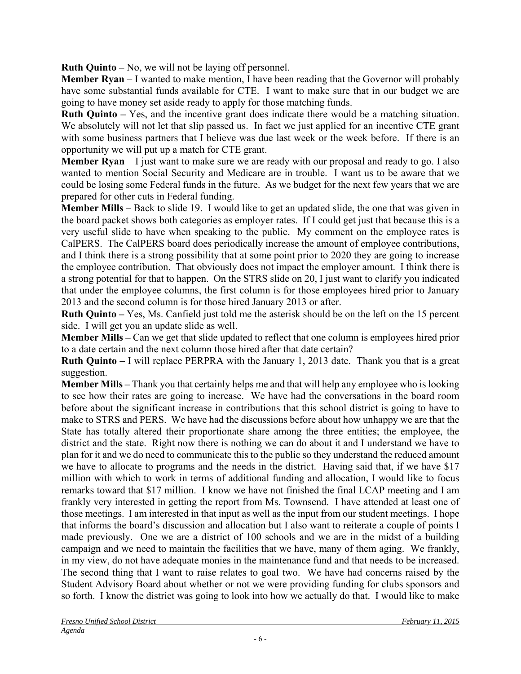**Ruth Quinto –** No, we will not be laying off personnel.

**Member Ryan** – I wanted to make mention, I have been reading that the Governor will probably have some substantial funds available for CTE. I want to make sure that in our budget we are going to have money set aside ready to apply for those matching funds.

**Ruth Quinto –** Yes, and the incentive grant does indicate there would be a matching situation. We absolutely will not let that slip passed us. In fact we just applied for an incentive CTE grant with some business partners that I believe was due last week or the week before. If there is an opportunity we will put up a match for CTE grant.

**Member Ryan** – I just want to make sure we are ready with our proposal and ready to go. I also wanted to mention Social Security and Medicare are in trouble. I want us to be aware that we could be losing some Federal funds in the future. As we budget for the next few years that we are prepared for other cuts in Federal funding.

**Member Mills** – Back to slide 19. I would like to get an updated slide, the one that was given in the board packet shows both categories as employer rates. If I could get just that because this is a very useful slide to have when speaking to the public. My comment on the employee rates is CalPERS. The CalPERS board does periodically increase the amount of employee contributions, and I think there is a strong possibility that at some point prior to 2020 they are going to increase the employee contribution. That obviously does not impact the employer amount. I think there is a strong potential for that to happen. On the STRS slide on 20, I just want to clarify you indicated that under the employee columns, the first column is for those employees hired prior to January 2013 and the second column is for those hired January 2013 or after.

**Ruth Quinto –** Yes, Ms. Canfield just told me the asterisk should be on the left on the 15 percent side. I will get you an update slide as well.

**Member Mills –** Can we get that slide updated to reflect that one column is employees hired prior to a date certain and the next column those hired after that date certain?

**Ruth Quinto –** I will replace PERPRA with the January 1, 2013 date. Thank you that is a great suggestion.

**Member Mills –** Thank you that certainly helps me and that will help any employee who is looking to see how their rates are going to increase. We have had the conversations in the board room before about the significant increase in contributions that this school district is going to have to make to STRS and PERS. We have had the discussions before about how unhappy we are that the State has totally altered their proportionate share among the three entities; the employee, the district and the state. Right now there is nothing we can do about it and I understand we have to plan for it and we do need to communicate this to the public so they understand the reduced amount we have to allocate to programs and the needs in the district. Having said that, if we have \$17 million with which to work in terms of additional funding and allocation, I would like to focus remarks toward that \$17 million. I know we have not finished the final LCAP meeting and I am frankly very interested in getting the report from Ms. Townsend. I have attended at least one of those meetings. I am interested in that input as well as the input from our student meetings. I hope that informs the board's discussion and allocation but I also want to reiterate a couple of points I made previously. One we are a district of 100 schools and we are in the midst of a building campaign and we need to maintain the facilities that we have, many of them aging. We frankly, in my view, do not have adequate monies in the maintenance fund and that needs to be increased. The second thing that I want to raise relates to goal two. We have had concerns raised by the Student Advisory Board about whether or not we were providing funding for clubs sponsors and so forth. I know the district was going to look into how we actually do that. I would like to make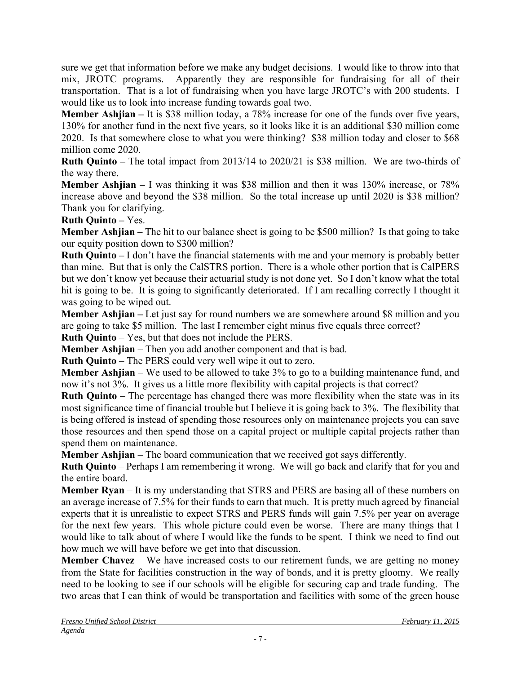sure we get that information before we make any budget decisions. I would like to throw into that mix, JROTC programs. Apparently they are responsible for fundraising for all of their transportation. That is a lot of fundraising when you have large JROTC's with 200 students. I would like us to look into increase funding towards goal two.

**Member Ashjian –** It is \$38 million today, a 78% increase for one of the funds over five years, 130% for another fund in the next five years, so it looks like it is an additional \$30 million come 2020. Is that somewhere close to what you were thinking? \$38 million today and closer to \$68 million come 2020.

**Ruth Quinto –** The total impact from 2013/14 to 2020/21 is \$38 million. We are two-thirds of the way there.

**Member Ashjian –** I was thinking it was \$38 million and then it was 130% increase, or 78% increase above and beyond the \$38 million. So the total increase up until 2020 is \$38 million? Thank you for clarifying.

**Ruth Quinto –** Yes.

**Member Ashjian –** The hit to our balance sheet is going to be \$500 million? Is that going to take our equity position down to \$300 million?

**Ruth Quinto –** I don't have the financial statements with me and your memory is probably better than mine. But that is only the CalSTRS portion. There is a whole other portion that is CalPERS but we don't know yet because their actuarial study is not done yet. So I don't know what the total hit is going to be. It is going to significantly deteriorated. If I am recalling correctly I thought it was going to be wiped out.

**Member Ashjian –** Let just say for round numbers we are somewhere around \$8 million and you are going to take \$5 million. The last I remember eight minus five equals three correct?

**Ruth Quinto** – Yes, but that does not include the PERS.

**Member Ashjian** – Then you add another component and that is bad.

**Ruth Quinto** – The PERS could very well wipe it out to zero.

**Member Ashjian** – We used to be allowed to take 3% to go to a building maintenance fund, and now it's not 3%. It gives us a little more flexibility with capital projects is that correct?

**Ruth Quinto –** The percentage has changed there was more flexibility when the state was in its most significance time of financial trouble but I believe it is going back to 3%. The flexibility that is being offered is instead of spending those resources only on maintenance projects you can save those resources and then spend those on a capital project or multiple capital projects rather than spend them on maintenance.

**Member Ashjian** – The board communication that we received got says differently.

**Ruth Quinto** – Perhaps I am remembering it wrong. We will go back and clarify that for you and the entire board.

**Member Ryan** – It is my understanding that STRS and PERS are basing all of these numbers on an average increase of 7.5% for their funds to earn that much. It is pretty much agreed by financial experts that it is unrealistic to expect STRS and PERS funds will gain 7.5% per year on average for the next few years. This whole picture could even be worse. There are many things that I would like to talk about of where I would like the funds to be spent. I think we need to find out how much we will have before we get into that discussion.

**Member Chavez** – We have increased costs to our retirement funds, we are getting no money from the State for facilities construction in the way of bonds, and it is pretty gloomy. We really need to be looking to see if our schools will be eligible for securing cap and trade funding. The two areas that I can think of would be transportation and facilities with some of the green house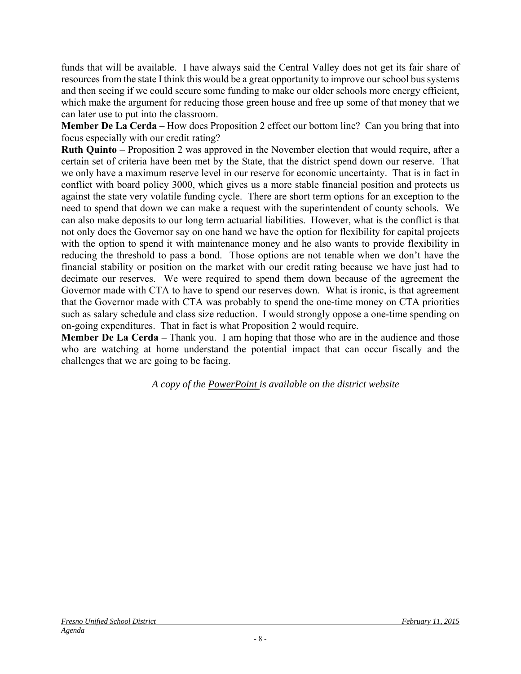funds that will be available. I have always said the Central Valley does not get its fair share of resources from the state I think this would be a great opportunity to improve our school bus systems and then seeing if we could secure some funding to make our older schools more energy efficient, which make the argument for reducing those green house and free up some of that money that we can later use to put into the classroom.

**Member De La Cerda** – How does Proposition 2 effect our bottom line? Can you bring that into focus especially with our credit rating?

**Ruth Quinto** – Proposition 2 was approved in the November election that would require, after a certain set of criteria have been met by the State, that the district spend down our reserve. That we only have a maximum reserve level in our reserve for economic uncertainty. That is in fact in conflict with board policy 3000, which gives us a more stable financial position and protects us against the state very volatile funding cycle. There are short term options for an exception to the need to spend that down we can make a request with the superintendent of county schools. We can also make deposits to our long term actuarial liabilities. However, what is the conflict is that not only does the Governor say on one hand we have the option for flexibility for capital projects with the option to spend it with maintenance money and he also wants to provide flexibility in reducing the threshold to pass a bond. Those options are not tenable when we don't have the financial stability or position on the market with our credit rating because we have just had to decimate our reserves. We were required to spend them down because of the agreement the Governor made with CTA to have to spend our reserves down. What is ironic, is that agreement that the Governor made with CTA was probably to spend the one-time money on CTA priorities such as salary schedule and class size reduction. I would strongly oppose a one-time spending on on-going expenditures. That in fact is what Proposition 2 would require.

**Member De La Cerda – Thank you.** I am hoping that those who are in the audience and those who are watching at home understand the potential impact that can occur fiscally and the challenges that we are going to be facing.

*A copy of the PowerPoint is available on the district website*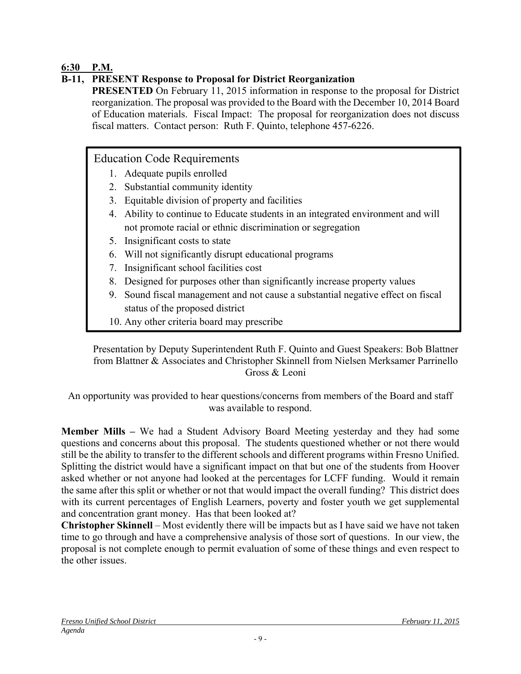# **6:30 P.M.**

# **B-11, PRESENT Response to Proposal for District Reorganization**

**PRESENTED** On February 11, 2015 information in response to the proposal for District reorganization. The proposal was provided to the Board with the December 10, 2014 Board of Education materials. Fiscal Impact: The proposal for reorganization does not discuss fiscal matters. Contact person: Ruth F. Quinto, telephone 457-6226.

# Education Code Requirements

- 1. Adequate pupils enrolled
- 2. Substantial community identity
- 3. Equitable division of property and facilities
- 4. Ability to continue to Educate students in an integrated environment and will not promote racial or ethnic discrimination or segregation
- 5. Insignificant costs to state
- 6. Will not significantly disrupt educational programs
- 7. Insignificant school facilities cost
- 8. Designed for purposes other than significantly increase property values
- 9. Sound fiscal management and not cause a substantial negative effect on fiscal status of the proposed district
- 10. Any other criteria board may prescribe

Presentation by Deputy Superintendent Ruth F. Quinto and Guest Speakers: Bob Blattner from Blattner & Associates and Christopher Skinnell from Nielsen Merksamer Parrinello Gross & Leoni

An opportunity was provided to hear questions/concerns from members of the Board and staff was available to respond.

**Member Mills –** We had a Student Advisory Board Meeting yesterday and they had some questions and concerns about this proposal. The students questioned whether or not there would still be the ability to transfer to the different schools and different programs within Fresno Unified. Splitting the district would have a significant impact on that but one of the students from Hoover asked whether or not anyone had looked at the percentages for LCFF funding. Would it remain the same after this split or whether or not that would impact the overall funding? This district does with its current percentages of English Learners, poverty and foster youth we get supplemental and concentration grant money. Has that been looked at?

**Christopher Skinnell** – Most evidently there will be impacts but as I have said we have not taken time to go through and have a comprehensive analysis of those sort of questions. In our view, the proposal is not complete enough to permit evaluation of some of these things and even respect to the other issues.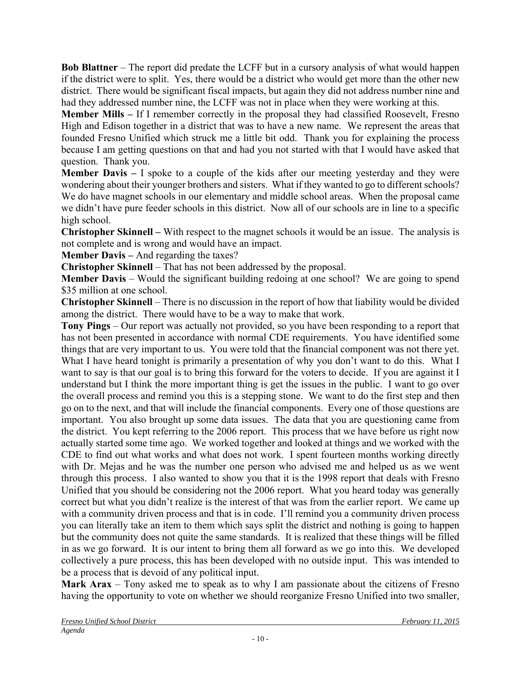**Bob Blattner** – The report did predate the LCFF but in a cursory analysis of what would happen if the district were to split. Yes, there would be a district who would get more than the other new district. There would be significant fiscal impacts, but again they did not address number nine and had they addressed number nine, the LCFF was not in place when they were working at this.

**Member Mills –** If I remember correctly in the proposal they had classified Roosevelt, Fresno High and Edison together in a district that was to have a new name. We represent the areas that founded Fresno Unified which struck me a little bit odd. Thank you for explaining the process because I am getting questions on that and had you not started with that I would have asked that question. Thank you.

**Member Davis –** I spoke to a couple of the kids after our meeting yesterday and they were wondering about their younger brothers and sisters. What if they wanted to go to different schools? We do have magnet schools in our elementary and middle school areas. When the proposal came we didn't have pure feeder schools in this district. Now all of our schools are in line to a specific high school.

**Christopher Skinnell –** With respect to the magnet schools it would be an issue. The analysis is not complete and is wrong and would have an impact.

**Member Davis** – And regarding the taxes?

**Christopher Skinnell** – That has not been addressed by the proposal.

**Member Davis** – Would the significant building redoing at one school? We are going to spend \$35 million at one school.

**Christopher Skinnell** – There is no discussion in the report of how that liability would be divided among the district. There would have to be a way to make that work.

**Tony Pings** – Our report was actually not provided, so you have been responding to a report that has not been presented in accordance with normal CDE requirements. You have identified some things that are very important to us. You were told that the financial component was not there yet. What I have heard tonight is primarily a presentation of why you don't want to do this. What I want to say is that our goal is to bring this forward for the voters to decide. If you are against it I understand but I think the more important thing is get the issues in the public. I want to go over the overall process and remind you this is a stepping stone. We want to do the first step and then go on to the next, and that will include the financial components. Every one of those questions are important. You also brought up some data issues. The data that you are questioning came from the district. You kept referring to the 2006 report. This process that we have before us right now actually started some time ago. We worked together and looked at things and we worked with the CDE to find out what works and what does not work. I spent fourteen months working directly with Dr. Mejas and he was the number one person who advised me and helped us as we went through this process. I also wanted to show you that it is the 1998 report that deals with Fresno Unified that you should be considering not the 2006 report. What you heard today was generally correct but what you didn't realize is the interest of that was from the earlier report. We came up with a community driven process and that is in code. I'll remind you a community driven process you can literally take an item to them which says split the district and nothing is going to happen but the community does not quite the same standards. It is realized that these things will be filled in as we go forward. It is our intent to bring them all forward as we go into this. We developed collectively a pure process, this has been developed with no outside input. This was intended to be a process that is devoid of any political input.

**Mark Arax** – Tony asked me to speak as to why I am passionate about the citizens of Fresno having the opportunity to vote on whether we should reorganize Fresno Unified into two smaller,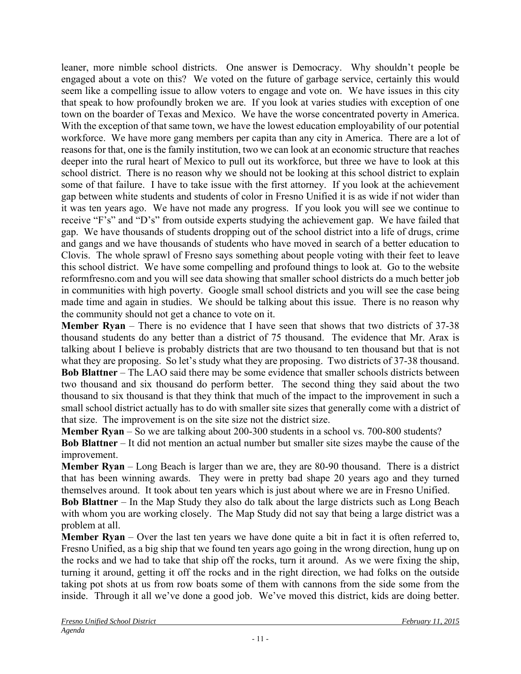leaner, more nimble school districts. One answer is Democracy. Why shouldn't people be engaged about a vote on this? We voted on the future of garbage service, certainly this would seem like a compelling issue to allow voters to engage and vote on. We have issues in this city that speak to how profoundly broken we are. If you look at varies studies with exception of one town on the boarder of Texas and Mexico. We have the worse concentrated poverty in America. With the exception of that same town, we have the lowest education employability of our potential workforce. We have more gang members per capita than any city in America. There are a lot of reasons for that, one is the family institution, two we can look at an economic structure that reaches deeper into the rural heart of Mexico to pull out its workforce, but three we have to look at this school district. There is no reason why we should not be looking at this school district to explain some of that failure. I have to take issue with the first attorney. If you look at the achievement gap between white students and students of color in Fresno Unified it is as wide if not wider than it was ten years ago. We have not made any progress. If you look you will see we continue to receive "F's" and "D's" from outside experts studying the achievement gap. We have failed that gap. We have thousands of students dropping out of the school district into a life of drugs, crime and gangs and we have thousands of students who have moved in search of a better education to Clovis. The whole sprawl of Fresno says something about people voting with their feet to leave this school district. We have some compelling and profound things to look at. Go to the website reformfresno.com and you will see data showing that smaller school districts do a much better job in communities with high poverty. Google small school districts and you will see the case being made time and again in studies. We should be talking about this issue. There is no reason why the community should not get a chance to vote on it.

**Member Ryan** – There is no evidence that I have seen that shows that two districts of 37-38 thousand students do any better than a district of 75 thousand. The evidence that Mr. Arax is talking about I believe is probably districts that are two thousand to ten thousand but that is not what they are proposing. So let's study what they are proposing. Two districts of 37-38 thousand. **Bob Blattner** – The LAO said there may be some evidence that smaller schools districts between two thousand and six thousand do perform better. The second thing they said about the two thousand to six thousand is that they think that much of the impact to the improvement in such a small school district actually has to do with smaller site sizes that generally come with a district of that size. The improvement is on the site size not the district size.

**Member Ryan** – So we are talking about 200-300 students in a school vs. 700-800 students?

**Bob Blattner** – It did not mention an actual number but smaller site sizes maybe the cause of the improvement.

**Member Ryan** – Long Beach is larger than we are, they are 80-90 thousand. There is a district that has been winning awards. They were in pretty bad shape 20 years ago and they turned themselves around. It took about ten years which is just about where we are in Fresno Unified.

**Bob Blattner** – In the Map Study they also do talk about the large districts such as Long Beach with whom you are working closely. The Map Study did not say that being a large district was a problem at all.

**Member Ryan** – Over the last ten years we have done quite a bit in fact it is often referred to, Fresno Unified, as a big ship that we found ten years ago going in the wrong direction, hung up on the rocks and we had to take that ship off the rocks, turn it around. As we were fixing the ship, turning it around, getting it off the rocks and in the right direction, we had folks on the outside taking pot shots at us from row boats some of them with cannons from the side some from the inside. Through it all we've done a good job. We've moved this district, kids are doing better.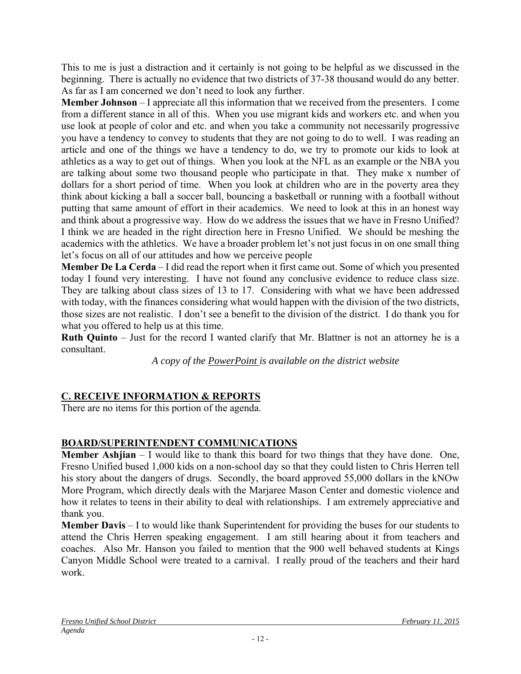This to me is just a distraction and it certainly is not going to be helpful as we discussed in the beginning. There is actually no evidence that two districts of 37-38 thousand would do any better. As far as I am concerned we don't need to look any further.

**Member Johnson** – I appreciate all this information that we received from the presenters. I come from a different stance in all of this. When you use migrant kids and workers etc. and when you use look at people of color and etc. and when you take a community not necessarily progressive you have a tendency to convey to students that they are not going to do to well. I was reading an article and one of the things we have a tendency to do, we try to promote our kids to look at athletics as a way to get out of things. When you look at the NFL as an example or the NBA you are talking about some two thousand people who participate in that. They make x number of dollars for a short period of time. When you look at children who are in the poverty area they think about kicking a ball a soccer ball, bouncing a basketball or running with a football without putting that same amount of effort in their academics. We need to look at this in an honest way and think about a progressive way. How do we address the issues that we have in Fresno Unified? I think we are headed in the right direction here in Fresno Unified. We should be meshing the academics with the athletics. We have a broader problem let's not just focus in on one small thing let's focus on all of our attitudes and how we perceive people

**Member De La Cerda** – I did read the report when it first came out. Some of which you presented today I found very interesting. I have not found any conclusive evidence to reduce class size. They are talking about class sizes of 13 to 17. Considering with what we have been addressed with today, with the finances considering what would happen with the division of the two districts, those sizes are not realistic. I don't see a benefit to the division of the district. I do thank you for what you offered to help us at this time.

**Ruth Quinto** – Just for the record I wanted clarify that Mr. Blattner is not an attorney he is a consultant.

*A copy of the PowerPoint is available on the district website*

# **C. RECEIVE INFORMATION & REPORTS**

There are no items for this portion of the agenda.

# **BOARD/SUPERINTENDENT COMMUNICATIONS**

**Member Ashjian** – I would like to thank this board for two things that they have done. One, Fresno Unified bused 1,000 kids on a non-school day so that they could listen to Chris Herren tell his story about the dangers of drugs. Secondly, the board approved 55,000 dollars in the kNOw More Program, which directly deals with the Marjaree Mason Center and domestic violence and how it relates to teens in their ability to deal with relationships. I am extremely appreciative and thank you.

**Member Davis** – I to would like thank Superintendent for providing the buses for our students to attend the Chris Herren speaking engagement. I am still hearing about it from teachers and coaches. Also Mr. Hanson you failed to mention that the 900 well behaved students at Kings Canyon Middle School were treated to a carnival. I really proud of the teachers and their hard work.